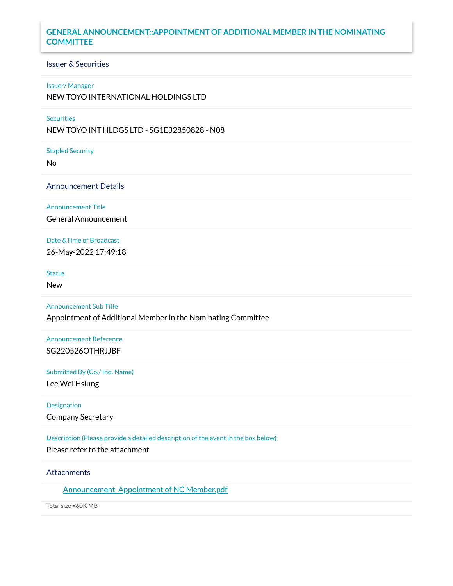# **GENERAL ANNOUNCEMENT::APPOINTMENT OF ADDITIONAL MEMBER IN THE NOMINATING COMMITTEE**

## Issuer & Securities

#### Issuer/ Manager

NEW TOYO INTERNATIONAL HOLDINGS LTD

## **Securities**

NEW TOYO INT HLDGS LTD - SG1E32850828 - N08

Stapled Security

No

#### Announcement Details

Announcement Title

General Announcement

# Date &Time of Broadcast

26-May-2022 17:49:18

#### **Status**

New

#### Announcement Sub Title

Appointment of Additional Member in the Nominating Committee

## Announcement Reference SG220526OTHRJJBF

### Submitted By (Co./ Ind. Name)

Lee Wei Hsiung

#### Designation

Company Secretary

### Description (Please provide a detailed description of the event in the box below)

Please refer to the attachment

## **Attachments**

Announcement Appointment of NC Member.pdf

Total size =60K MB